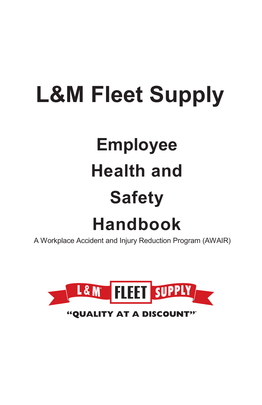# **L&M Fleet Supply**

# **Employee Health and Safety**

# **Handbook**

A Workplace Accident and Injury Reduction Program (AWAIR)

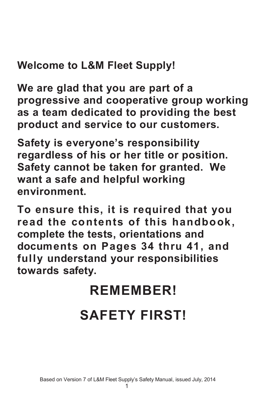## **Welcome to L&M Fleet Supply!**

**We are glad that you are part of a progressive and cooperative group working as a team dedicated to providing the best product and service to our customers.**

**Safety is everyone's responsibility regardless of his or her title or position. Safety cannot be taken for granted. We want a safe and helpful working environment.**

**To ensure this, it is required that you read the contents of this handbook, complete the tests, orientations and documents on Pages 34 thru 41, and fully understand your responsibilities towards safety.**

## **REMEMBER!**

## **SAFETY FIRST!**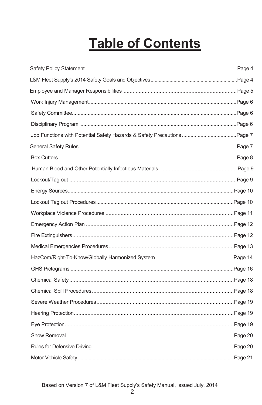## **Table of Contents**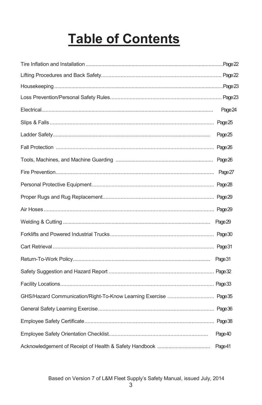## **Table of Contents**

| Page 24 |
|---------|
|         |
| Page 25 |
|         |
|         |
|         |
|         |
|         |
|         |
| Page 29 |
|         |
|         |
|         |
|         |
|         |
|         |
|         |
|         |
| Page 40 |
| Page 41 |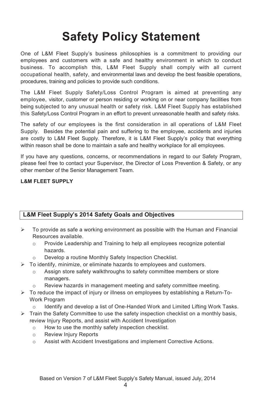## **Safety Policy Statement**

One of L&M Fleet Supply's business philosophies is a commitment to providing our employees and customers with a safe and healthy environment in which to conduct business. To accomplish this, L&M Fleet Supply shall comply with all current occupational health, safety, and environmental laws and develop the best feasible operations, procedures, training and policies to provide such conditions.

The L&M Fleet Supply Safety/Loss Control Program is aimed at preventing any employee, visitor, customer or person residing or working on or near company facilities from being subjected to any unusual health or safety risk. L&M Fleet Supply has established this Safety/Loss Control Program in an effort to prevent unreasonable health and safety risks.

The safety of our employees is the first consideration in all operations of L&M Fleet Supply. Besides the potential pain and suffering to the employee, accidents and injuries are costly to L&M Fleet Supply. Therefore, it is L&M Fleet Supply's policy that everything within reason shall be done to maintain a safe and healthy workplace for all employees.

If you have any questions, concerns, or recommendations in regard to our Safety Program, please feel free to contact your Supervisor, the Director of Loss Prevention & Safety, or any other member of the Senior Management Team.

#### **L&M FLEET SUPPLY**

### **L&M Fleet Supply's 2014 Safety Goals and Objectives**

- $\triangleright$  To provide as safe a working environment as possible with the Human and Financial Resources available.
	- o Provide Leadership and Training to help all employees recognize potential hazards.
	- Develop a routine Monthly Safety Inspection Checklist.
- $\triangleright$  To identify, minimize, or eliminate hazards to employees and customers.
	- o Assign store safety walkthroughs to safety committee members or store managers.
	- Review hazards in management meeting and safety committee meeting.
- $\triangleright$  To reduce the impact of injury or illness on employees by establishing a Return-To-Work Program
	- Identify and develop a list of One-Handed Work and Limited Lifting Work Tasks.
- $\triangleright$  Train the Safety Committee to use the safety inspection checklist on a monthly basis, review Injury Reports, and assist with Accident Investigation
	- o How to use the monthly safety inspection checklist.
	- o Review Injury Reports
	- o Assist with Accident Investigations and implement Corrective Actions.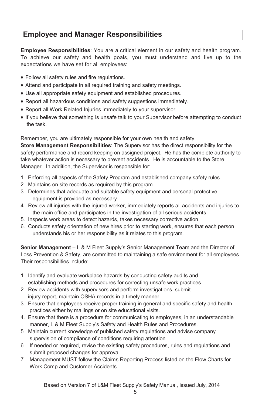## **Employee and Manager Responsibilities**

**Employee Responsibilities**: You are a critical element in our safety and health program. To achieve our safety and health goals, you must understand and live up to the expectations we have set for all employees:

- Follow all safety rules and fire regulations.
- Attend and participate in all required training and safety meetings.
- Use all appropriate safety equipment and established procedures.
- Report all hazardous conditions and safety suggestions immediately.
- Report all Work Related Injuries immediately to your supervisor.
- If you believe that something is unsafe talk to your Supervisor before attempting to conduct the task.

Remember, you are ultimately responsible for your own health and safety. **Store Management Responsibilities**: The Supervisor has the direct responsibility for the

safety performance and record keeping on assigned project. He has the complete authority to take whatever action is necessary to prevent accidents. He is accountable to the Store Manager. In addition, the Supervisor is responsible for:

- 1. Enforcing all aspects of the Safety Program and established company safety rules.
- 2. Maintains on site records as required by this program.
- 3. Determines that adequate and suitable safety equipment and personal protective equipment is provided as necessary.
- 4. Review all injuries with the injured worker, immediately reports all accidents and injuries to the main office and participates in the investigation of all serious accidents.
- 5. Inspects work areas to detect hazards, takes necessary corrective action.
- 6. Conducts safety orientation of new hires prior to starting work, ensures that each person understands his or her responsibility as it relates to this program.

**Senior Management** – L & M Fleet Supply's Senior Management Team and the Director of Loss Prevention & Safety, are committed to maintaining a safe environment for all employees. Their responsibilities include:

- 1. Identify and evaluate workplace hazards by conducting safety audits and establishing methods and procedures for correcting unsafe work practices.
- 2. Review accidents with supervisors and perform investigations, submit injury report, maintain OSHA records in a timely manner.
- 3. Ensure that employees receive proper training in general and specific safety and health practices either by mailings or on site educational visits.
- 4. Ensure that there is a procedure for communicating to employees, in an understandable manner, L & M Fleet Supply's Safety and Health Rules and Procedures.
- 5. Maintain current knowledge of published safety regulations and advise company supervision of compliance of conditions requiring attention.
- 6. If needed or required, revise the existing safety procedures, rules and regulations and submit proposed changes for approval.
- 7. Management MUST follow the Claims Reporting Process listed on the Flow Charts for Work Comp and Customer Accidents.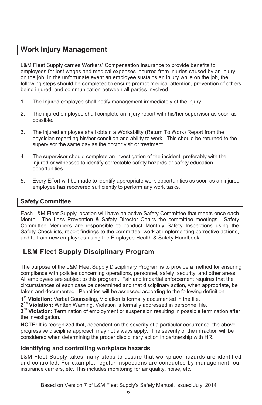## **Work Injury Management**

L&M Fleet Supply carries Workers' Compensation Insurance to provide benefits to employees for lost wages and medical expenses incurred from injuries caused by an injury on the job. In the unfortunate event an employee sustains an injury while on the job, the following steps should be completed to ensure prompt medical attention, prevention of others being injured, and communication between all parties involved.

- 1. The Injured employee shall notify management immediately of the injury.
- 2. The injured employee shall complete an injury report with his/her supervisor as soon as possible.
- 3. The injured employee shall obtain a Workability (Return To Work) Report from the physician regarding his/her condition and ability to work. This should be returned to the supervisor the same day as the doctor visit or treatment.
- 4. The supervisor should complete an investigation of the incident, preferably with the injured or witnesses to identify correctable safety hazards or safety education opportunities.
- 5. Every Effort will be made to identify appropriate work opportunities as soon as an injured employee has recovered sufficiently to perform any work tasks.

#### **Safety Committee**

Each L&M Fleet Supply location will have an active Safety Committee that meets once each Month. The Loss Prevention & Safety Director Chairs the committee meetings. Safety Committee Members are responsible to conduct Monthly Safety Inspections using the Safety Checklists, report findings to the committee, work at implementing corrective actions, and to train new employees using the Employee Health & Safety Handbook.

## **L&M Fleet Supply Disciplinary Program**

The purpose of the L&M Fleet Supply Disciplinary Program is to provide a method for ensuring compliance with policies concerning operations, personnel, safety, security, and other areas. All employees are subject to this program. Fair and impartial enforcement requires that the circumstances of each case be determined and that disciplinary action, when appropriate, be taken and documented. Penalties will be assessed according to the following definition.

**1st Violation:** Verbal Counseling, Violation is formally documented in the file.

**2nd Violation:** Written Warning, Violation is formally addressed in personnel file.

**3rd Violation:** Termination of employment or suspension resulting in possible termination after the investigation.

**NOTE:** It is recognized that, dependent on the severity of a particular occurrence, the above progressive discipline approach may not always apply. The severity of the infraction will be considered when determining the proper disciplinary action in partnership with HR.

#### **Identifying and controlling workplace hazards**

L&M Fleet Supply takes many steps to assure that workplace hazards are identified and controlled. For example, regular inspections are conducted by management, our insurance carriers, etc. This includes monitoring for air quality, noise, etc.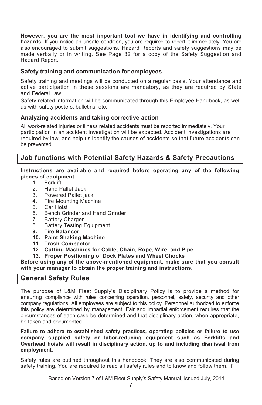**However, you are the most important tool we have in identifying and controlling hazard**s. If you notice an unsafe condition, you are required to report it immediately. You are also encouraged to submit suggestions. Hazard Reports and safety suggestions may be made verbally or in writing. See Page 32 for a copy of the Safety Suggestion and Hazard Report.

#### **Safety training and communication for employees**

Safety training and meetings will be conducted on a regular basis. Your attendance and active participation in these sessions are mandatory, as they are required by State and Federal Law.

Safety-related information will be communicated through this Employee Handbook, as well as with safety posters, bulletins, etc.

#### **Analyzing accidents and taking corrective action**

All work-related injuries or illness related accidents must be reported immediately. Your participation in an accident investigation will be expected. Accident investigations are required by law, and help us identify the causes of accidents so that future accidents can be prevented.

### **Job functions with Potential Safety Hazards & Safety Precautions**

## **Instructions are available and required before operating any of the following pieces of equipment.**<br>1 Forklift

- 1. Forklift<br>2 Hand P
- 2. Hand Pallet Jack
- 3. Powered Pallet jack<br>4. Tire Mounting Machi
- 4. Tire Mounting Machine<br>5. Car Hoist
- Car Hoist
- 6. Bench Grinder and Hand Grinder<br>7. Battery Charger
- **Battery Charger**
- 8. Battery Testing Equipment<br>9. Tire Balancer
- **9.** Tire **Balancer**
- **10. Paint Shaking Machine**
- **11. Trash Compactor**
- **12. Cutting Machines for Cable, Chain, Rope, Wire, and Pipe.**
- **13. Proper Positioning of Dock Plates and Wheel Chocks**

#### **Before using any of the above-mentioned equipment, make sure that you consult with your manager to obtain the proper training and instructions.**

### **General Safety Rules**

The purpose of L&M Fleet Supply's Disciplinary Policy is to provide a method for ensuring compliance with rules concerning operation, personnel, safety, security and other company regulations. All employees are subject to this policy. Personnel authorized to enforce this policy are determined by management. Fair and impartial enforcement requires that the circumstances of each case be determined and that disciplinary action, when appropriate, be taken and documented.

**Failure to adhere to established safety practices, operating policies or failure to use company supplied safety or labor-reducing equipment such as Forklifts and Overhead hoists will result in disciplinary action, up to and including dismissal from employment.**

Safety rules are outlined throughout this handbook. They are also communicated during safety training. You are required to read all safety rules and to know and follow them. If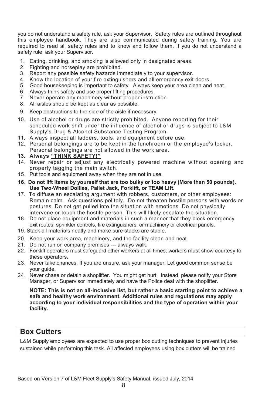you do not understand a safety rule, ask your Supervisor. Safety rules are outlined throughout this employee handbook. They are also communicated during safety training. You are required to read all safety rules and to know and follow them. If you do not understand a safety rule, ask your Supervisor.

- 1. Eating, drinking, and smoking is allowed only in designated areas.
- 2. Fighting and horseplay are prohibited.
- 3. Report any possible safety hazards immediately to your supervisor.
- 4. Know the location of your fire extinguishers and all emergency exit doors.
- 5. Good housekeeping is important to safety. Always keep your area clean and neat.
- 6. Always think safety and use proper lifting procedures.
- 7. Never operate any machinery without proper instruction.
- 8. All aisles should be kept as clear as possible.
- 9. Keep obstructions to the side of the aisle if necessary.
- 10. Use of alcohol or drugs are strictly prohibited. Anyone reporting for their scheduled work shift under the influence of alcohol or drugs is subject to L&M Supply's Drug & Alcohol Substance Testing Program.
- 11. Always inspect all ladders, tools, and equipment before use.
- 12. Personal belongings are to be kept in the lunchroom or the employee's locker. Personal belongings are not allowed in the work area.
- **13. Always "THINK SAFETY!"**
- 14. Never repair or adjust any electrically powered machine without opening and properly tagging the main switch.
- 15. Put tools and equipment away when they are not in use.
- **16. Do not lift items by yourself that are too bulky or too heavy (More than 50 pounds). Use Two-Wheel Dollies, Pallet Jack, Forklift, or TEAM Lift.**
- 17. To diffuse an escalating argument with robbers, customers, or other employees: Remain calm. Ask questions politely. Do not threaten hostile persons with words or postures. Do not get pulled into the situation with emotions. Do not physically intervene or touch the hostile person. This will likely escalate the situation.
- 18. Do not place equipment and materials in such a manner that they block emergency exit routes, sprinkler controls, fire extinguishers, or machinery or electrical panels.
- 19. Stack all materials neatly and make sure stacks are stable.
- 20. Keep your work area, machinery, and the facility clean and neat.
- 21. Do not run on company premises --- always walk.
- 22. Forklift operators must safeguard other workers at all times; workers must show courtesy to these operators.
- 23. Never take chances. If you are unsure, ask your manager. Let good common sense be your guide.
- 24. Never chase or detain a shoplifter. You might get hurt. Instead, please notify your Store Manager, or Supervisor immediately and have the Police deal with the shoplifter.

**NOTE: This is not an all-inclusive list, but rather a basic starting point to achieve a safe and healthy work environment. Additional rules and regulations may apply according to your individual responsibilities and the type of operation within your facility.**

### **Box Cutters**

L&M Supply employees are expected to use proper box cutting techniques to prevent injuries sustained while performing this task. All affected employees using box cutters will be trained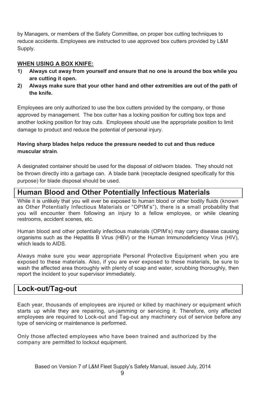by Managers, or members of the Safety Committee, on proper box cutting techniques to reduce accidents. Employees are instructed to use approved box cutters provided by L&M Supply.

#### **WHEN USING A BOX KNIFE:**

- **1) Always cut away from yourself and ensure that no one is around the box while you are cutting it open.**
- **2) Always make sure that your other hand and other extremities are out of the path of the knife.**

Employees are only authorized to use the box cutters provided by the company, or those approved by management. The box cutter has a locking position for cutting box tops and another locking position for tray cuts. Employees should use the appropriate position to limit damage to product and reduce the potential of personal injury.

#### **Having sharp blades helps reduce the pressure needed to cut and thus reduce muscular strain**.

A designated container should be used for the disposal of old/worn blades. They should not be thrown directly into a garbage can. A blade bank (receptacle designed specifically for this purpose) for blade disposal should be used.

## **Human Blood and Other Potentially Infectious Materials**

While it is unlikely that you will ever be exposed to human blood or other bodily fluids (known as Other Potentially Infectious Materials or "OPIM's"), there is a small probability that you will encounter them following an injury to a fellow employee, or while cleaning restrooms, accident scenes, etc.

Human blood and other potentially infectious materials (OPIM's) may carry disease causing organisms such as the Hepatitis B Virus (HBV) or the Human Immunodeficiency Virus (HIV), which leads to AIDS.

Always make sure you wear appropriate Personal Protective Equipment when you are exposed to these materials. Also, if you are ever exposed to these materials, be sure to wash the affected area thoroughly with plenty of soap and water, scrubbing thoroughly, then report the incident to your supervisor immediately.

### **Lock-out/Tag-out**

Each year, thousands of employees are injured or killed by machinery or equipment which starts up while they are repairing, un-jamming or servicing it. Therefore, only affected employees are required to Lock-out and Tag-out any machinery out of service before any type of servicing or maintenance is performed.

Only those affected employees who have been trained and authorized by the company are permitted to lockout equipment.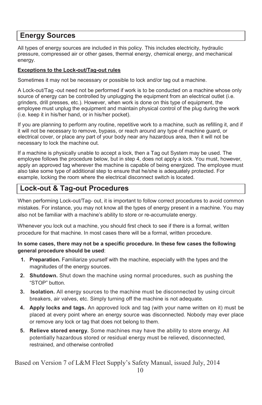## **Energy Sources**

All types of energy sources are included in this policy. This includes electricity, hydraulic pressure, compressed air or other gases, thermal energy, chemical energy, and mechanical energy.

#### **Exceptions to the Lock-out/Tag-out rules**

Sometimes it may not be necessary or possible to lock and/or tag out a machine.

A Lock-out/Tag -out need not be performed if work is to be conducted on a machine whose only source of energy can be controlled by unplugging the equipment from an electrical outlet (i.e. grinders, drill presses, etc.). However, when work is done on this type of equipment, the employee must unplug the equipment and maintain physical control of the plug during the work (i.e. keep it in his/her hand, or in his/her pocket).

If you are planning to perform any routine, repetitive work to a machine, such as refilling it, and if it will not be necessary to remove, bypass, or reach around any type of machine guard, or electrical cover, or place any part of your body near any hazardous area, then it will not be necessary to lock the machine out.

If a machine is physically unable to accept a lock, then a Tag out System may be used. The employee follows the procedure below, but in step 4, does not apply a lock. You must, however, apply an approved tag wherever the machine is capable of being energized. The employee must also take some type of additional step to ensure that he/she is adequately protected. For example, locking the room where the electrical disconnect switch is located.

## **Lock-out & Tag-out Procedures**

When performing Lock-out/Tag- out, it is important to follow correct procedures to avoid common mistakes. For instance, you may not know all the types of energy present in a machine. You may also not be familiar with a machine's ability to store or re-accumulate energy.

Whenever you lock out a machine, you should first check to see if there is a formal, written procedure for that machine. In most cases there will be a formal, written procedure.

#### **In some cases, there may not be a specific procedure. In these few cases the following general procedure should be used**:

- **1. Preparation.** Familiarize yourself with the machine, especially with the types and the magnitudes of the energy sources.
- **2. Shutdown.** Shut down the machine using normal procedures, such as pushing the "STOP" button.
- **3. Isolation.** All energy sources to the machine must be disconnected by using circuit breakers, air valves, etc. Simply turning off the machine is not adequate.
- **4. Apply locks and tags.** An approved lock and tag (with your name written on it) must be placed at every point where an energy source was disconnected. Nobody may ever place or remove any lock or tag that does not belong to them.
- **5. Relieve stored energy.** Some machines may have the ability to store energy. All potentially hazardous stored or residual energy must be relieved, disconnected, restrained, and otherwise controlled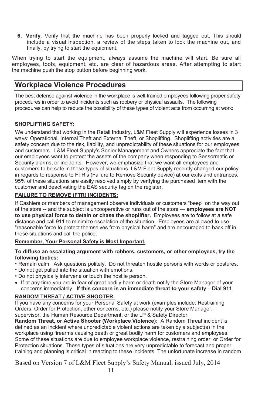**6. Verify.** Verify that the machine has been properly locked and tagged out. This should include a visual inspection, a review of the steps taken to lock the machine out, and finally, by trying to start the equipment.

When trying to start the equipment, always assume the machine will start. Be sure all employees, tools, equipment, etc. are clear of hazardous areas. After attempting to start the machine push the stop button before beginning work.

## **Workplace Violence Procedures**

The best defense against violence in the workplace is well-trained employees following proper safety procedures in order to avoid incidents such as robbery or physical assaults. The following procedures can help to reduce the possibility of these types of violent acts from occurring at work:

#### **SHOPLIFTING SAFETY:**

We understand that working in the Retail Industry, L&M Fleet Supply will experience losses in 3 ways: Operational, Internal Theft and External Theft, or Shoplifting. Shoplifting activities are a safety concern due to the risk, liability, and unpredictability of these situations for our employees and customers. L&M Fleet Supply's Senior Management and Owners appreciate the fact that our employees want to protect the assets of the company when responding to Sensormatic or Security alarms, or incidents. However, we emphasize that we want all employees and customers to be safe in these types of situations. L&M Fleet Supply recently changed our policy in regards to response to FTR's (Failure to Remove Security device) at our exits and entrances. 95% of these situations are easily resolved simply by verifying the purchased item with the customer and deactivating the EAS security tag on the register.

#### **FAILURE TO REMOVE (FTR) INCIDENTS:**

If Cashiers or members of management observe individuals or customers "beep" on the way out of the store -- and the subject is uncooperative or runs out of the store — **employees are NOT to use physical force to detain or chase the shoplifter.** Employees are to follow at a safe distance and call 911 to minimize escalation of the situation. Employees are allowed to use "reasonable force to protect themselves from physical harm" and are encouraged to back off in these situations and call the police.

#### **Remember, Your Personal Safety is Most Important.**

#### **To diffuse an escalating argument with robbers, customers, or other employees, try the following tactics:**

- Remain calm. Ask questions politely. Do not threaten hostile persons with words or postures.
- Do not get pulled into the situation with emotions.
- Do not physically intervene or touch the hostile person.
- If at any time you are in fear of great bodily harm or death notify the Store Manager of your concerns immediately. **If this concern is an immediate threat to your safety – Dial 911**.

#### **RANDOM THREAT / ACTIVE SHOOTER:**

If you have any concerns for your Personal Safety at work (examples include: Restraining Orders, Order for Protection, other concerns, etc.) please notify your Store Manager, supervisor, the Human Resource Department, or the LP & Safety Director.

**Random Threat, or Active Shooter (Workplace Violence):** A Random Threat incident is defined as an incident where unpredictable violent actions are taken by a subject(s) in the workplace using firearms causing death or great bodily harm for customers and employees. Some of these situations are due to employee workplace violence, restraining order, or Order for Protection situations. These types of situations are very unpredictable to forecast and proper training and planning is critical in reacting to these incidents. The unfortunate increase in random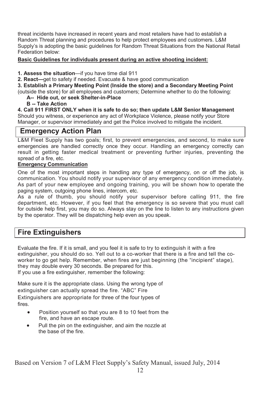threat incidents have increased in recent years and most retailers have had to establish a Random Threat planning and procedures to help protect employees and customers. L&M Supply's is adopting the basic guidelines for Random Threat Situations from the National Retail Federation below:

#### **Basic Guidelines for individuals present during an active shooting incident:**

**1. Assess the situation**—if you have time dial 911

**2. React—**get to safety if needed. Evacuate & have good communication

**3. Establish a Primary Meeting Point (Inside the store) and a Secondary Meeting Point**

(outside the store) for all employees and customers; Determine whether to do the following:

 **A-- Hide out, or seek Shelter-in-Place**

 **B -- Take Action**

**4. Call 911 FIRST ONLY when it is safe to do so; then update L&M Senior Management** Should you witness, or experience any act of Workplace Violence, please notify your Store Manager, or supervisor immediately and get the Police involved to mitigate the incident.

### **Emergency Action Plan**

L&M Fleet Supply has two goals; first, to prevent emergencies, and second, to make sure emergencies are handled correctly once they occur. Handling an emergency correctly can result in getting faster medical treatment or preventing further injuries, preventing the spread of a fire, etc.

#### **Emergency Communication**

One of the most important steps in handling any type of emergency, on or off the job, is communication. You should notify your supervisor of any emergency condition immediately. As part of your new employee and ongoing training, you will be shown how to operate the paging system, outgoing phone lines, intercom, etc.

As a rule of thumb, you should notify your supervisor before calling 911, the fire department, etc. However, if you feel that the emergency is so severe that you must call for outside help first, you may do so. Always stay on the line to listen to any instructions given by the operator. They will be dispatching help even as you speak.

### **Fire Extinguishers**

Evaluate the fire. If it is small, and you feel it is safe to try to extinguish it with a fire extinguisher, you should do so. Yell out to a co-worker that there is a fire and tell the coworker to go get help. Remember, when fires are just beginning (the "incipient" stage), they may double every 30 seconds. Be prepared for this. If you use a fire extinguisher, remember the following:

Make sure it is the appropriate class. Using the wrong type of extinguisher can actually spread the fire. "ABC" Fire Extinguishers are appropriate for three of the four types of fires.

- Position yourself so that you are 8 to 10 feet from the fire, and have an escape route.
- Pull the pin on the extinguisher, and aim the nozzle at the base of the fire.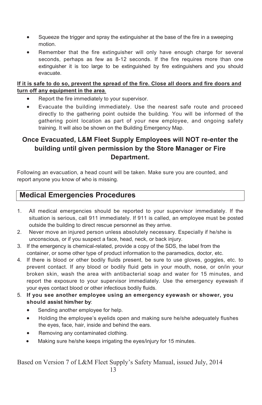- Squeeze the trigger and spray the extinguisher at the base of the fire in a sweeping motion.
- Remember that the fire extinguisher will only have enough charge for several seconds, perhaps as few as 8-12 seconds. If the fire requires more than one extinguisher it is too large to be extinguished by fire extinguishers and you should evacuate.

#### **If it is safe to do so, prevent the spread of the fire. Close all doors and fire doors and turn off any equipment in the area**.

- Report the fire immediately to your supervisor.
- Evacuate the building immediately. Use the nearest safe route and proceed directly to the gathering point outside the building. You will be informed of the gathering point location as part of your new employee, and ongoing safety training. It will also be shown on the Building Emergency Map.

## **Once Evacuated, L&M Fleet Supply Employees will NOT re-enter the building until given permission by the Store Manager or Fire Department.**

Following an evacuation, a head count will be taken. Make sure you are counted, and report anyone you know of who is missing.

## **Medical Emergencies Procedures**

- 1. All medical emergencies should be reported to your supervisor immediately. If the situation is serious, call 911 immediately. If 911 is called, an employee must be posted outside the building to direct rescue personnel as they arrive.
- 2. Never move an injured person unless absolutely necessary. Especially if he/she is unconscious, or if you suspect a face, head, neck, or back injury.
- 3. If the emergency is chemical-related, provide a copy of the SDS, the label from the container, or some other type of product information to the paramedics, doctor, etc.
- 4. If there is blood or other bodily fluids present, be sure to use gloves, goggles, etc. to prevent contact. If any blood or bodily fluid gets in your mouth, nose, or on/in your broken skin, wash the area with antibacterial soap and water for 15 minutes, and report the exposure to your supervisor immediately. Use the emergency eyewash if your eyes contact blood or other infectious bodily fluids.
- 5. **If you see another employee using an emergency eyewash or shower, you should assist him/her by**:
	- Sending another employee for help.
	- Holding the employee's eyelids open and making sure he/she adequately flushes the eyes, face, hair, inside and behind the ears.
	- Removing any contaminated clothing.
	- Making sure he/she keeps irrigating the eyes/injury for 15 minutes.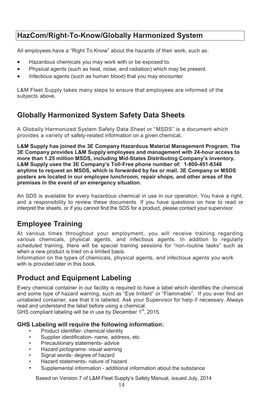## **HazCom/Right-To-Know/Globally Harmonized System**

All employees have a "Right To Know" about the hazards of their work, such as:

- Hazardous chemicals you may work with or be exposed to.
- Physical agents (such as heat, noise, and radiation) which may be present.
- Infectious agents (such as human blood) that you may encounter.

L&M Fleet Supply takes many steps to ensure that employees are informed of the subjects above.

## **Globally Harmonized System Safety Data Sheets**

A Globally Harmonized System Safety Data Sheet or "MSDS" is a document which provides a variety of safety-related information on a given chemical**.**

**L&M Supply has joined the 3E Company Hazardous Material Management Program. The 3E Company provides L&M Supply employees and management with 24-hour access to more than 1.25 million MSDS, including Mid-States Distributing Company's inventory. L&M Supply uses the 3E Company's Toll-Free phone number of: 1-800-451-8346 anytime to request an MSDS, which is forwarded by fax or mail. 3E Company or MSDS posters are located in our employee lunchroom, repair shops, and other areas of the premises in the event of an emergency situation.**

An SDS is available for every hazardous chemical in use in our operation. You have a right, and a responsibility to review these documents. If you have questions on how to read or interpret the sheets, or if you cannot find the SDS for a product, please contact your supervisor.

## **Employee Training**

At various times throughout your employment, you will receive training regarding various chemicals, physical agents, and infectious agents. In addition to regularly scheduled training, there will be special training sessions for "non-routine tasks" such as when a new product is tried on a limited basis.

Information on the types of chemicals, physical agents, and infectious agents you work with is provided later in this book.

## **Product and Equipment Labeling**

Every chemical container in our facility is required to have a label which identifies the chemical and some type of hazard warning, such as "Eye Irritant" or "Flammable". If you ever find an unlabeled container, see that it is labeled. Ask your Supervisor for help if necessary. Always read and understand the label before using a chemical.

GHS compliant labeling will be in use by December 1<sup>st</sup>, 2015.

#### **GHS Labeling will require the following information:**

- Product identifier- chemical identity
- Supplier identification- name, address, etc.
- Precautionary statements- advice
- Hazard pictograms- visual warning
- Signal words- degree of hazard
- Hazard statements- nature of hazard
- Supplemental information additional information about the substance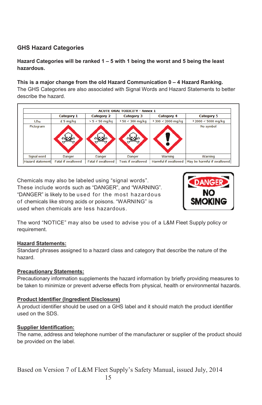### **GHS Hazard Categories**

#### **Hazard Categories will be ranked 1 – 5 with 1 being the worst and 5 being the least hazardous.**

#### **This is a major change from the old Hazard Communication 0 – 4 Hazard Ranking.**

The GHS Categories are also associated with Signal Words and Hazard Statements to better describe the hazard.

| <b>ACUTE ORAL TOXICITY - Annex 1</b> |                           |                    |                           |                      |                             |
|--------------------------------------|---------------------------|--------------------|---------------------------|----------------------|-----------------------------|
|                                      | <b>Category 1</b>         | <b>Category 2</b>  | <b>Category 3</b>         | <b>Category 4</b>    | <b>Category 5</b>           |
| LD <sub>50</sub>                     | £ 5 mg/kg                 | $> 5 < 50$ mg/kg   | $350 < 300$ mg/kg         | 3 300 < 2000 mg/kg   | $32000 < 5000$ mg/kg        |
| Pictogram                            |                           |                    |                           |                      | No symbol                   |
| Signal word                          | Danger                    | Danger             | <b>Danger</b>             | Warning              | Warning                     |
| <b>Hazard statement</b>              | <b>Fatal if swallowed</b> | Fatal if swallowed | <b>Toxic if swallowed</b> | Harmful if swallowed | May be harmful if swallowed |

Chemicals may also be labeled using "signal words". These include words such as "DANGER", and "WARNING". "DANGER" is likely to be used for the most hazardous of chemicals like strong acids or poisons. "WARNING" is used when chemicals are less hazardous.



The word "NOTICE" may also be used to advise you of a L&M Fleet Supply policy or requirement.

#### **Hazard Statements:**

Standard phrases assigned to a hazard class and category that describe the nature of the hazard.

#### **Precautionary Statements:**

Precautionary information supplements the hazard information by briefly providing measures to be taken to minimize or prevent adverse effects from physical, health or environmental hazards.

#### **Product Identifier (Ingredient Disclosure)**

A product identifier should be used on a GHS label and it should match the product identifier used on the SDS.

#### **Supplier Identification:**

The name, address and telephone number of the manufacturer or supplier of the product should be provided on the label.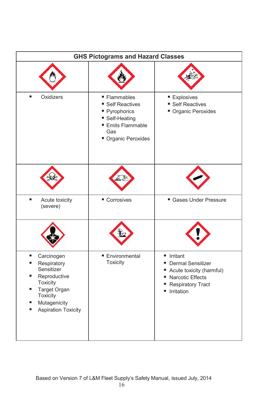| <b>GHS Pictograms and Hazard Classes</b>                                                                                                                               |                                                                                                                         |                                                                                                                                                           |  |
|------------------------------------------------------------------------------------------------------------------------------------------------------------------------|-------------------------------------------------------------------------------------------------------------------------|-----------------------------------------------------------------------------------------------------------------------------------------------------------|--|
|                                                                                                                                                                        |                                                                                                                         |                                                                                                                                                           |  |
| Oxidizers                                                                                                                                                              | ■ Flammables<br>■ Self Reactives<br>Pyrophorics<br>■ Self-Heating<br><b>Emits Flammable</b><br>Gas<br>Organic Peroxides | <b>Explosives</b><br>■ Self Reactives<br>Organic Peroxides                                                                                                |  |
|                                                                                                                                                                        |                                                                                                                         |                                                                                                                                                           |  |
| Acute toxicity<br>(severe)                                                                                                                                             | ■ Corrosives                                                                                                            | Gases Under Pressure                                                                                                                                      |  |
|                                                                                                                                                                        |                                                                                                                         |                                                                                                                                                           |  |
| ٠<br>Carcinogen<br>Respiratory<br>٠<br>Sensitizer<br>Reproductive<br>■<br>Toxicity<br>Target Organ<br>ш<br>Toxicity<br>Mutagenicity<br>■<br><b>Aspiration Toxicity</b> | ■ Environmental<br><b>Toxicity</b>                                                                                      | lrritant<br><b>Dermal Sensitizer</b><br>٠<br>Acute toxicity (harmful)<br>٠<br><b>Narcotic Effects</b><br>п<br><b>Respiratory Tract</b><br>Irritation<br>п |  |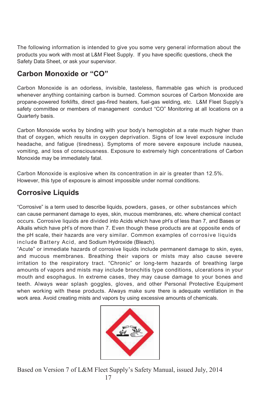The following information is intended to give you some very general information about the products you work with most at L&M Fleet Supply. If you have specific questions, check the Safety Data Sheet, or ask your supervisor.

## **Carbon Monoxide or "CO"**

Carbon Monoxide is an odorless, invisible, tasteless, flammable gas which is produced whenever anything containing carbon is burned. Common sources of Carbon Monoxide are propane-powered forklifts, direct gas-fired heaters, fuel-gas welding, etc. L&M Fleet Supply's safety committee or members of management conduct "CO" Monitoring at all locations on a Quarterly basis.

Carbon Monoxide works by binding with your body's hemoglobin at a rate much higher than that of oxygen, which results in oxygen deprivation. Signs of low level exposure include headache, and fatigue (tiredness). Symptoms of more severe exposure include nausea, vomiting, and loss of consciousness. Exposure to extremely high concentrations of Carbon Monoxide may be immediately fatal.

Carbon Monoxide is explosive when its concentration in air is greater than 12.5%. However, this type of exposure is almost impossible under normal conditions.

## **Corrosive Liquids**

"Corrosive" is a term used to describe liquids, powders, gases, or other substances which can cause permanent damage to eyes, skin, mucous membranes, etc. where chemical contact occurs. Corrosive liquids are divided into Acids which have pH's of less than 7, and Bases or Alkalis which have pH's of more than 7. Even though these products are at opposite ends of the pH scale, their hazards are very similar. Common examples of corrosive liquids include Battery Acid, and Sodium Hydroxide (Bleach).

"Acute" or immediate hazards of corrosive liquids include permanent damage to skin, eyes, and mucous membranes. Breathing their vapors or mists may also cause severe irritation to the respiratory tract. "Chronic" or long-term hazards of breathing large amounts of vapors and mists may include bronchitis type conditions, ulcerations in your mouth and esophagus. In extreme cases, they may cause damage to your bones and teeth. Always wear splash goggles, gloves, and other Personal Protective Equipment when working with these products. Always make sure there is adequate ventilation in the work area. Avoid creating mists and vapors by using excessive amounts of chemicals.

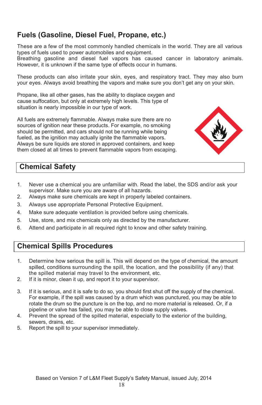## **Fuels (Gasoline, Diesel Fuel, Propane, etc.)**

These are a few of the most commonly handled chemicals in the world. They are all various types of fuels used to power automobiles and equipment.

Breathing gasoline and diesel fuel vapors has caused cancer in laboratory animals. However, it is unknown if the same type of effects occur in humans.

These products can also irritate your skin, eyes, and respiratory tract. They may also burn your eyes. Always avoid breathing the vapors and make sure you don't get any on your skin.

Propane, like all other gases, has the ability to displace oxygen and cause suffocation, but only at extremely high levels. This type of situation is nearly impossible in our type of work.

All fuels are extremely flammable. Always make sure there are no sources of ignition near these products. For example, no smoking should be permitted, and cars should not be running while being fueled, as the ignition may actually ignite the flammable vapors. Always be sure liquids are stored in approved containers, and keep them closed at all times to prevent flammable vapors from escaping.



## **Chemical Safety**

- 1. Never use a chemical you are unfamiliar with. Read the label, the SDS and/or ask your supervisor. Make sure you are aware of all hazards.
- 2. Always make sure chemicals are kept in properly labeled containers.
- 3. Always use appropriate Personal Protective Equipment.
- 4. Make sure adequate ventilation is provided before using chemicals.
- 5. Use, store, and mix chemicals only as directed by the manufacturer.
- 6. Attend and participate in all required right to know and other safety training.

## **Chemical Spills Procedures**

- 1. Determine how serious the spill is. This will depend on the type of chemical, the amount spilled, conditions surrounding the spill, the location, and the possibility (if any) that the spilled material may travel to the environment, etc.
- 2. If it is minor, clean it up, and report it to your supervisor.
- 3. If it is serious, and it is safe to do so, you should first shut off the supply of the chemical. For example, if the spill was caused by a drum which was punctured, you may be able to rotate the drum so the puncture is on the top, and no more material is released. Or, if a pipeline or valve has failed, you may be able to close supply valves.
- 4. Prevent the spread of the spilled material, especially to the exterior of the building, sewers, drains, etc.
- 5. Report the spill to your supervisor immediately.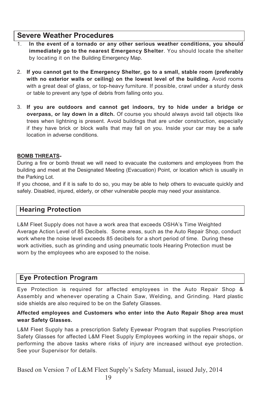## **Severe Weather Procedures**

- 1. **In the event of a tornado or any other serious weather conditions, you should immediately go to the nearest Emergency Shelter**. You should locate the shelter by locating it on the Building Emergency Map.
- 2. **If you cannot get to the Emergency Shelter, go to a small, stable room (preferably with no exterior walls or ceiling) on the lowest level of the building.** Avoid rooms with a great deal of glass, or top-heavy furniture. If possible, crawl under a sturdy desk or table to prevent any type of debris from falling onto you.
- 3. **If you are outdoors and cannot get indoors, try to hide under a bridge or overpass, or lay down in a ditch.** Of course you should always avoid tall objects like trees when lightning is present. Avoid buildings that are under construction, especially if they have brick or block walls that may fall on you. Inside your car may be a safe location in adverse conditions.

#### **BOMB THREATS-**

During a fire or bomb threat we will need to evacuate the customers and employees from the building and meet at the Designated Meeting (Evacuation) Point, or location which is usually in the Parking Lot.

If you choose, and if it is safe to do so, you may be able to help others to evacuate quickly and safely. Disabled, injured, elderly, or other vulnerable people may need your assistance.

### **Hearing Protection**

L&M Fleet Supply does not have a work area that exceeds OSHA's Time Weighted Average Action Level of 85 Decibels. Some areas, such as the Auto Repair Shop, conduct work where the noise level exceeds 85 decibels for a short period of time. During these work activities, such as grinding and using pneumatic tools Hearing Protection must be worn by the employees who are exposed to the noise.

### **Eye Protection Program**

Eye Protection is required for affected employees in the Auto Repair Shop & Assembly and whenever operating a Chain Saw, Welding, and Grinding. Hard plastic side shields are also required to be on the Safety Glasses.

#### **Affected employees and Customers who enter into the Auto Repair Shop area must wear Safety Glasses.**

L&M Fleet Supply has a prescription Safety Eyewear Program that supplies Prescription Safety Glasses for affected L&M Fleet Supply Employees working in the repair shops, or performing the above tasks where risks of injury are increased without eye protection. See your Supervisor for details.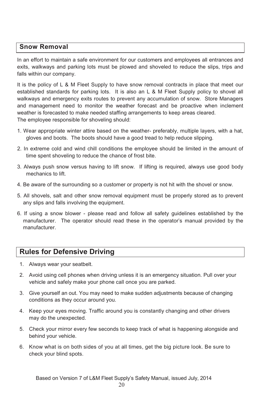### **Snow Removal**

In an effort to maintain a safe environment for our customers and employees all entrances and exits, walkways and parking lots must be plowed and shoveled to reduce the slips, trips and falls within our company.

It is the policy of L & M Fleet Supply to have snow removal contracts in place that meet our established standards for parking lots. It is also an L & M Fleet Supply policy to shovel all walkways and emergency exits routes to prevent any accumulation of snow. Store Managers and management need to monitor the weather forecast and be proactive when inclement weather is forecasted to make needed staffing arrangements to keep areas cleared. The employee responsible for shoveling should:

- 1. Wear appropriate winter attire based on the weather- preferably, multiple layers, with a hat, gloves and boots. The boots should have a good tread to help reduce slipping.
- 2. In extreme cold and wind chill conditions the employee should be limited in the amount of time spent shoveling to reduce the chance of frost bite.
- 3. Always push snow versus having to lift snow. If lifting is required, always use good body mechanics to lift.
- 4. Be aware of the surrounding so a customer or property is not hit with the shovel or snow.
- 5. All shovels, salt and other snow removal equipment must be properly stored as to prevent any slips and falls involving the equipment.
- 6. If using a snow blower please read and follow all safety guidelines established by the manufacturer. The operator should read these in the operator's manual provided by the manufacturer.

## **Rules for Defensive Driving**

- 1. Always wear your seatbelt.
- 2. Avoid using cell phones when driving unless it is an emergency situation. Pull over your vehicle and safely make your phone call once you are parked.
- 3. Give yourself an out. You may need to make sudden adjustments because of changing conditions as they occur around you.
- 4. Keep your eyes moving. Traffic around you is constantly changing and other drivers may do the unexpected.
- 5. Check your mirror every few seconds to keep track of what is happening alongside and behind your vehicle.
- 6. Know what is on both sides of you at all times, get the big picture look. Be sure to check your blind spots.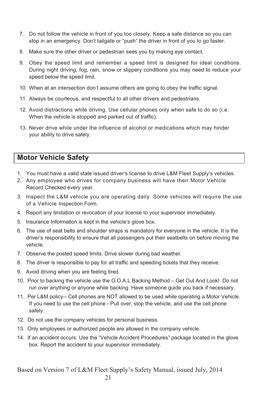- 7. Do not follow the vehicle in front of you too closely. Keep a safe distance so you can stop in an emergency. Don't tailgate or "push" the driver in front of you to go faster.
- 8. Make sure the other driver or pedestrian sees you by making eye contact.
- 9. Obey the speed limit and remember a speed limit is designed for ideal conditions. During night driving, fog, rain, snow or slippery conditions you may need to reduce your speed below the speed limit.
- 10. When at an intersection don't assume others are going to obey the traffic signal.
- 11. Always be courteous, and respectful to all other drivers and pedestrians.
- 12. Avoid distractions while driving. Use cellular phones only when safe to do so (i.e. When the vehicle is stopped and parked out of traffic).
- 13. Never drive while under the influence of alcohol or medications which may hinder your ability to drive safely.

## **Motor Vehicle Safety**

- 1. You must have a valid state issued driver's license to drive L&M Fleet Supply's vehicles.
- 2. Any employee who drives for company business will have their Motor Vehicle Record Checked every year.
- 3. Inspect the L&M vehicle you are operating daily. Some vehicles will require the use of a Vehicle Inspection Form.
- 4. Report any limitation or revocation of your license to your supervisor immediately.
- 5. Insurance Information is kept in the vehicle's glove box.
- 6. The use of seat belts and shoulder straps is mandatory for everyone in the vehicle. It is the driver's responsibility to ensure that all passengers put their seatbelts on before moving the vehicle.
- 7. Observe the posted speed limits. Drive slower during bad weather.
- 8. The driver is responsible to pay for all traffic and speeding tickets that they receive.
- 9. Avoid driving when you are feeling tired.
- 10. Prior to backing the vehicle use the G.O.A.L Backing Method Get Out And Look! Do not run over anything or anyone while backing. Have someone guide you back if necessary.
- 11. Per L&M policy-- Cell phones are NOT allowed to be used while operating a Motor Vehicle. If you need to use the cell phone - Pull over, stop the vehicle, and use the cell phone safely.
- 12. Do not use the company vehicles for personal business.
- 13. Only employees or authorized people are allowed in the company vehicle.
- 14. If an accident occurs: Use the "Vehicle Accident Procedures" package located in the glove box. Report the accident to your supervisor immediately.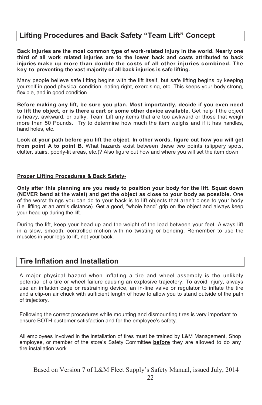## **Lifting Procedures and Back Safety "Team Lift" Concept**

**Back injuries are the most common type of work-related injury in the world. Nearly one third of all work related injuries are to the lower back and costs attributed to back injuries make up more than double the costs of all other injuries combined. The key to preventing the vast majority of all back injuries is safe lifting.**

Many people believe safe lifting begins with the lift itself, but safe lifting begins by keeping yourself in good physical condition, eating right, exercising, etc. This keeps your body strong, flexible, and in good condition.

**Before making any lift, be sure you plan. Most importantly, decide if you even need to lift the object, or is there a cart or some other device available**. Get help if the object is heavy, awkward, or bulky. Team Lift any items that are too awkward or those that weigh more than 50 Pounds. Try to determine how much the item weighs and if it has handles, hand holes, etc.

**Look at your path before you lift the object. In other words, figure out how you will get from point A to point B.** What hazards exist between these two points (slippery spots, clutter, stairs, poorly-lit areas, etc.)? Also figure out how and where you will set the item down.

#### **Proper Lifting Procedures & Back Safety-**

**Only after this planning are you ready to position your body for the lift. Squat down (NEVER bend at the waist) and get the object as close to your body as possible.** One of the worst things you can do to your back is to lift objects that aren't close to your body (i.e. lifting at an arm's distance). Get a good, "whole hand" grip on the object and always keep your head up during the lift.

During the lift, keep your head up and the weight of the load between your feet. Always lift in a slow, smooth, controlled motion with no twisting or bending. Remember to use the muscles in your legs to lift, not your back.

### **Tire Inflation and Installation**

A major physical hazard when inflating a tire and wheel assembly is the unlikely potential of a tire or wheel failure causing an explosive trajectory. To avoid injury, always use an inflation cage or restraining device, an in-line valve or regulator to inflate the tire and a clip-on air chuck with sufficient length of hose to allow you to stand outside of the path of trajectory.

Following the correct procedures while mounting and dismounting tires is very important to ensure BOTH customer satisfaction and for the employee's safety.

All employees involved in the installation of tires must be trained by L&M Management, Shop employee, or member of the store's Safety Committee **before** they are allowed to do any tire installation work.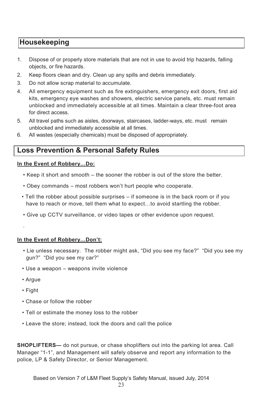## **Housekeeping**

- 1. Dispose of or properly store materials that are not in use to avoid trip hazards, falling objects, or fire hazards.
- 2. Keep floors clean and dry. Clean up any spills and debris immediately.
- 3. Do not allow scrap material to accumulate.
- 4. All emergency equipment such as fire extinguishers, emergency exit doors, first aid kits, emergency eye washes and showers, electric service panels, etc. must remain unblocked and immediately accessible at all times. Maintain a clear three-foot area for direct access.
- 5. All travel paths such as aisles, doorways, staircases, ladder-ways, etc. must remain unblocked and immediately accessible at all times.
- 6. All wastes (especially chemicals) must be disposed of appropriately.

## **Loss Prevention & Personal Safety Rules**

#### **In the Event of Robbery…Do:**

- Keep it short and smooth the sooner the robber is out of the store the better.
- Obey commands most robbers won't hurt people who cooperate.
- Tell the robber about possible surprises if someone is in the back room or if you have to reach or move, tell them what to expect…to avoid startling the robber.
- Give up CCTV surveillance, or video tapes or other evidence upon request.

#### **In the Event of Robbery…Don't:**

- Lie unless necessary. The robber might ask, "Did you see my face?" "Did you see my gun?" "Did you see my car?"
- Use a weapon weapons invite violence
- Argue

.

- Fight
- Chase or follow the robber
- Tell or estimate the money loss to the robber
- Leave the store; instead, lock the doors and call the police

**SHOPLIFTERS—** do not pursue, or chase shoplifters out into the parking lot area. Call Manager "1-1", and Management will safely observe and report any information to the police, LP & Safety Director, or Senior Management.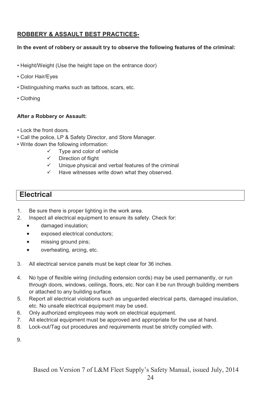### **ROBBERY & ASSAULT BEST PRACTICES-**

#### **In the event of robbery or assault try to observe the following features of the criminal:**

- Height/Weight (Use the height tape on the entrance door)
- Color Hair/Eyes
- Distinguishing marks such as tattoos, scars, etc.
- Clothing

#### **After a Robbery or Assault:**

- Lock the front doors.
- Call the police, LP & Safety Director, and Store Manager.
- Write down the following information:
	- $\checkmark$  Type and color of vehicle
	- $\checkmark$  Direction of flight
	- $\checkmark$  Unique physical and verbal features of the criminal
	- $\checkmark$  Have witnesses write down what they observed.

## **Electrical**

- 1. Be sure there is proper lighting in the work area.
- 2. Inspect all electrical equipment to ensure its safety. Check for:
	- damaged insulation;
	- exposed electrical conductors;
	- missing ground pins;
	- overheating, arcing, etc.
- 3. All electrical service panels must be kept clear for 36 inches.
- 4. No type of flexible wiring (including extension cords) may be used permanently, or run through doors, windows, ceilings, floors, etc. Nor can it be run through building members or attached to any building surface.
- 5. Report all electrical violations such as unguarded electrical parts, damaged insulation, etc. No unsafe electrical equipment may be used.
- 6. Only authorized employees may work on electrical equipment.
- 7. All electrical equipment must be approved and appropriate for the use at hand.
- 8. Lock-out/Tag out procedures and requirements must be strictly complied with.

9.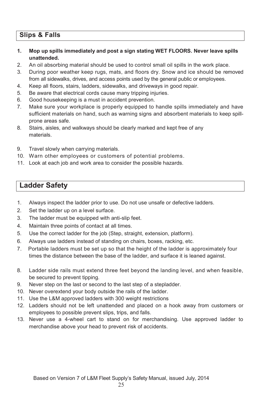## **Slips & Falls**

- **1. Mop up spills immediately and post a sign stating WET FLOORS. Never leave spills unattended.**
- 2. An oil absorbing material should be used to control small oil spills in the work place.
- 3. During poor weather keep rugs, mats, and floors dry. Snow and ice should be removed from all sidewalks, drives, and access points used by the general public or employees.
- 4. Keep all floors, stairs, ladders, sidewalks, and driveways in good repair.
- 5. Be aware that electrical cords cause many tripping injuries.
- 6. Good housekeeping is a must in accident prevention.
- 7. Make sure your workplace is properly equipped to handle spills immediately and have sufficient materials on hand, such as warning signs and absorbent materials to keep spillprone areas safe.
- 8. Stairs, aisles, and walkways should be clearly marked and kept free of any materials.
- 9. Travel slowly when carrying materials.
- 10. Warn other employees or customers of potential problems.
- 11. Look at each job and work area to consider the possible hazards.

## **Ladder Safety**

- 1. Always inspect the ladder prior to use. Do not use unsafe or defective ladders.
- 2. Set the ladder up on a level surface.
- 3. The ladder must be equipped with anti-slip feet.
- 4. Maintain three points of contact at all times.
- 5. Use the correct ladder for the job (Step, straight, extension, platform).
- 6. Always use ladders instead of standing on chairs, boxes, racking, etc.
- 7. Portable ladders must be set up so that the height of the ladder is approximately four times the distance between the base of the ladder, and surface it is leaned against.
- 8. Ladder side rails must extend three feet beyond the landing level, and when feasible, be secured to prevent tipping.
- 9. Never step on the last or second to the last step of a stepladder.
- 10. Never overextend your body outside the rails of the ladder.
- 11. Use the L&M approved ladders with 300 weight restrictions
- 12. Ladders should not be left unattended and placed on a hook away from customers or employees to possible prevent slips, trips, and falls.
- 13. Never use a 4-wheel cart to stand on for merchandising. Use approved ladder to merchandise above your head to prevent risk of accidents.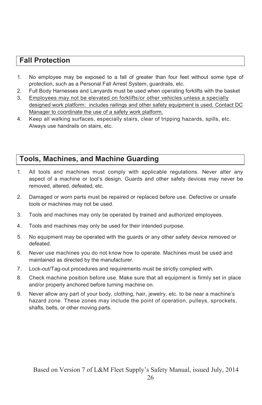## **Fall Protection**

- 1. No employee may be exposed to a fall of greater than four feet without some type of protection, such as a Personal Fall Arrest System, guardrails, etc.
- 2. Full Body Harnesses and Lanyards must be used when operating forklifts with the basket
- 3. Employees may not be elevated on forklifts/or other vehicles unless a specially designed work platform: includes railings and other safety equipment is used. Contact DC Manager to coordinate the use of a safety work platform.
- 4. Keep all walking surfaces, especially stairs, clear of tripping hazards, spills, etc. Always use handrails on stairs, etc.

## **Tools, Machines, and Machine Guarding**

- 1. All tools and machines must comply with applicable regulations. Never alter any aspect of a machine or tool's design. Guards and other safety devices may never be removed, altered, defeated, etc.
- 2. Damaged or worn parts must be repaired or replaced before use. Defective or unsafe tools or machines may not be used.
- 3. Tools and machines may only be operated by trained and authorized employees.
- 4. Tools and machines may only be used for their intended purpose.
- 5. No equipment may be operated with the guards or any other safety device removed or defeated.
- 6. Never use machines you do not know how to operate. Machines must be used and maintained as directed by the manufacturer.
- 7. Lock-out/Tag-out procedures and requirements must be strictly complied with.
- 8. Check machine position before use. Make sure that all equipment is firmly set in place and/or properly anchored before turning machine on.
- 9. Never allow any part of your body, clothing, hair, jewelry, etc. to be near a machine's hazard zone. These zones may include the point of operation, pulleys, sprockets, shafts, belts, or other moving parts.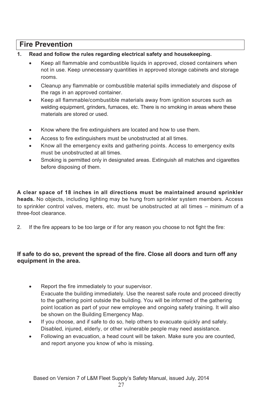## **Fire Prevention**

- **1. Read and follow the rules regarding electrical safety and housekeeping.**
	- x Keep all flammable and combustible liquids in approved, closed containers when not in use. Keep unnecessary quantities in approved storage cabinets and storage rooms.
	- Cleanup any flammable or combustible material spills immediately and dispose of the rags in an approved container.
	- Keep all flammable/combustible materials away from ignition sources such as welding equipment, grinders, furnaces, etc. There is no smoking in areas where these materials are stored or used.
	- Know where the fire extinguishers are located and how to use them.
	- Access to fire extinguishers must be unobstructed at all times.
	- Know all the emergency exits and gathering points. Access to emergency exits must be unobstructed at all times.
	- Smoking is permitted only in designated areas. Extinguish all matches and cigarettes before disposing of them.

**A clear space of 18 inches in all directions must be maintained around sprinkler heads.** No objects, including lighting may be hung from sprinkler system members. Access to sprinkler control valves, meters, etc. must be unobstructed at all times – minimum of a three-foot clearance.

2. If the fire appears to be too large or if for any reason you choose to not fight the fire:

#### **If safe to do so, prevent the spread of the fire. Close all doors and turn off any equipment in the area.**

- Report the fire immediately to your supervisor. Evacuate the building immediately. Use the nearest safe route and proceed directly to the gathering point outside the building. You will be informed of the gathering point location as part of your new employee and ongoing safety training. It will also be shown on the Building Emergency Map.
- If you choose, and if safe to do so, help others to evacuate quickly and safely. Disabled, injured, elderly, or other vulnerable people may need assistance.
- Following an evacuation, a head count will be taken. Make sure you are counted, and report anyone you know of who is missing.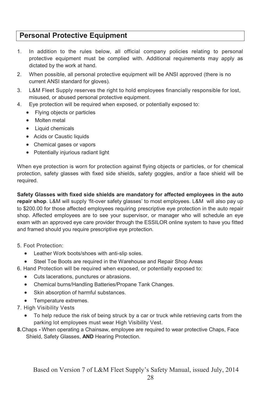## **Personal Protective Equipment**

- 1. In addition to the rules below, all official company policies relating to personal protective equipment must be complied with. Additional requirements may apply as dictated by the work at hand.
- 2. When possible, all personal protective equipment will be ANSI approved (there is no current ANSI standard for gloves).
- 3. L&M Fleet Supply reserves the right to hold employees financially responsible for lost, misused, or abused personal protective equipment.
- 4. Eye protection will be required when exposed, or potentially exposed to:
	- Flying objects or particles
	- Molten metal
	- Liquid chemicals
	- Acids or Caustic liquids
	- Chemical gases or vapors
	- Potentially injurious radiant light

When eye protection is worn for protection against flying objects or particles, or for chemical protection, safety glasses with fixed side shields, safety goggles, and/or a face shield will be required.

**Safety Glasses with fixed side shields are mandatory for affected employees in the auto repair shop**. L&M will supply 'fit-over safety glasses' to most employees. L&M will also pay up to \$200.00 for those affected employees requiring prescriptive eye protection in the auto repair shop. Affected employees are to see your supervisor, or manager who will schedule an eye exam with an approved eye care provider through the ESSILOR online system to have you fitted and framed should you require prescriptive eye protection.

- 5. Foot Protection:
	- Leather Work boots/shoes with anti-slip soles.
	- Steel Toe Boots are required in the Warehouse and Repair Shop Areas
- 6. Hand Protection will be required when exposed, or potentially exposed to:
	- Cuts lacerations, punctures or abrasions.
	- Chemical burns/Handling Batteries/Propane Tank Changes.
	- Skin absorption of harmful substances.
	- Temperature extremes.
- 7. High Visibility Vests
	- To help reduce the risk of being struck by a car or truck while retrieving carts from the parking lot employees must wear High Visibility Vest.
- **8.**Chaps **-** When operating a Chainsaw, employee are required to wear protective Chaps, Face Shield, Safety Glasses, **AND** Hearing Protection.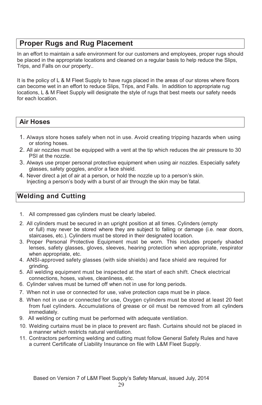## **Proper Rugs and Rug Placement**

In an effort to maintain a safe environment for our customers and employees, proper rugs should be placed in the appropriate locations and cleaned on a regular basis to help reduce the Slips, Trips, and Falls on our property..

It is the policy of L & M Fleet Supply to have rugs placed in the areas of our stores where floors can become wet in an effort to reduce Slips, Trips, and Falls. In addition to appropriate rug locations, L & M Fleet Supply will designate the style of rugs that best meets our safety needs for each location.

### **Air Hoses**

- 1. Always store hoses safely when not in use. Avoid creating tripping hazards when using or storing hoses.
- 2. All air nozzles must be equipped with a vent at the tip which reduces the air pressure to 30 PSI at the nozzle.
- 3. Always use proper personal protective equipment when using air nozzles. Especially safety glasses, safety goggles, and/or a face shield.
- 4. Never direct a jet of air at a person, or hold the nozzle up to a person's skin. Injecting a person's body with a burst of air through the skin may be fatal.

## **Welding and Cutting**

- 1. All compressed gas cylinders must be clearly labeled.
- 2. All cylinders must be secured in an upright position at all times. Cylinders (empty or full) may never be stored where they are subject to falling or damage (i.e. near doors, staircases, etc.). Cylinders must be stored in their designated location.
- 3. Proper Personal Protective Equipment must be worn. This includes properly shaded lenses, safety glasses, gloves, sleeves, hearing protection when appropriate, respirator when appropriate, etc.
- 4. ANSI-approved safety glasses (with side shields) and face shield are required for grinding.
- 5. All welding equipment must be inspected at the start of each shift. Check electrical connections, hoses, valves, cleanliness, etc.
- 6. Cylinder valves must be turned off when not in use for long periods.
- 7. When not in use or connected for use, valve protection caps must be in place.
- 8. When not in use or connected for use, Oxygen cylinders must be stored at least 20 feet from fuel cylinders. Accumulations of grease or oil must be removed from all cylinders immediately.
- 9. All welding or cutting must be performed with adequate ventilation.
- 10. Welding curtains must be in place to prevent arc flash. Curtains should not be placed in a manner which restricts natural ventilation.
- 11. Contractors performing welding and cutting must follow General Safety Rules and have a current Certificate of Liability Insurance on file with L&M Fleet Supply.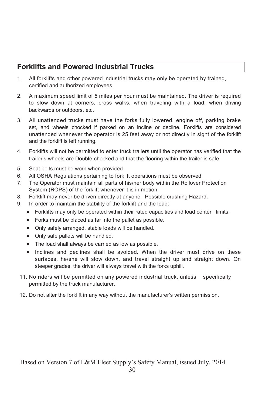## **Forklifts and Powered Industrial Trucks**

- 1. All forklifts and other powered industrial trucks may only be operated by trained, certified and authorized employees.
- 2. A maximum speed limit of 5 miles per hour must be maintained. The driver is required to slow down at corners, cross walks, when traveling with a load, when driving backwards or outdoors, etc.
- 3. All unattended trucks must have the forks fully lowered, engine off, parking brake set, and wheels chocked if parked on an incline or decline. Forklifts are considered unattended whenever the operator is 25 feet away or not directly in sight of the forklift and the forklift is left running.
- 4. Forklifts will not be permitted to enter truck trailers until the operator has verified that the trailer's wheels are Double-chocked and that the flooring within the trailer is safe.
- 5. Seat belts must be worn when provided.
- 6. All OSHA Regulations pertaining to forklift operations must be observed.
- 7. The Operator must maintain all parts of his/her body within the Rollover Protection System (ROPS) of the forklift whenever it is in motion.
- 8. Forklift may never be driven directly at anyone. Possible crushing Hazard.
- 9. In order to maintain the stability of the forklift and the load:
	- Forklifts may only be operated within their rated capacities and load center limits.
	- Forks must be placed as far into the pallet as possible.
	- Only safely arranged, stable loads will be handled.
	- Only safe pallets will be handled.
	- The load shall always be carried as low as possible.
	- Inclines and declines shall be avoided. When the driver must drive on these surfaces, he/she will slow down, and travel straight up and straight down. On steeper grades, the driver will always travel with the forks uphill.
- 11. No riders will be permitted on any powered industrial truck, unless specifically permitted by the truck manufacturer.
- 12. Do not alter the forklift in any way without the manufacturer's written permission.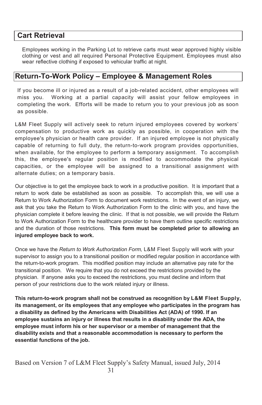## **Cart Retrieval**

Employees working in the Parking Lot to retrieve carts must wear approved highly visible clothing or vest and all required Personal Protective Equipment. Employees must also wear reflective clothing if exposed to vehicular traffic at night.

## **Return-To-Work Policy – Employee & Management Roles**

If you become ill or injured as a result of a job-related accident, other employees will miss you. Working at a partial capacity will assist your fellow employees in completing the work. Efforts will be made to return you to your previous job as soon as possible.

L&M Fleet Supply will actively seek to return injured employees covered by workers' compensation to productive work as quickly as possible, in cooperation with the employee's physician or health care provider. If an injured employee is not physically capable of returning to full duty, the return-to-work program provides opportunities, when available, for the employee to perform a temporary assignment. To accomplish this, the employee's regular position is modified to accommodate the physical capacities, or the employee will be assigned to a transitional assignment with alternate duties; on a temporary basis.

Our objective is to get the employee back to work in a productive position. It is important that a return to work date be established as soon as possible. To accomplish this, we will use a Return to Work Authorization Form to document work restrictions. In the event of an injury, we ask that you take the Return to Work Authorization Form to the clinic with you, and have the physician complete it before leaving the clinic. If that is not possible, we will provide the Return to Work Authorization Form to the healthcare provider to have them outline specific restrictions and the duration of those restrictions. **This form must be completed prior to allowing an injured employee back to work.**

Once we have the *Return to Work Authorization Form,* L&M Fleet Supply will work with your supervisor to assign you to a transitional position or modified regular position in accordance with the return-to-work program. This modified position may include an alternative pay rate for the transitional position. We require that you do not exceed the restrictions provided by the physician. If anyone asks you to exceed the restrictions, you must decline and inform that person of your restrictions due to the work related injury or illness.

**This return-to-work program shall not be construed as recognition by L&M Fleet Supply, its management, or its employees that any employee who participates in the program has a disability as defined by the Americans with Disabilities Act (ADA) of 1990. If an employee sustains an injury or illness that results in a disability under the ADA, the employee must inform his or her supervisor or a member of management that the disability exists and that a reasonable accommodation is necessary to perform the essential functions of the job.**

Based on Version 7 of L&M Fleet Supply's Safety Manual, issued July, 2014 31 and  $\overline{31}$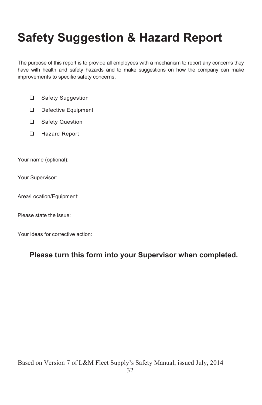## **Safety Suggestion & Hazard Report**

The purpose of this report is to provide all employees with a mechanism to report any concerns they have with health and safety hazards and to make suggestions on how the company can make improvements to specific safety concerns.

- □ Safety Suggestion
- Defective Equipment
- □ Safety Question
- **Hazard Report**

Your name (optional):

Your Supervisor:

Area/Location/Equipment:

Please state the issue:

Your ideas for corrective action:

## **Please turn this form into your Supervisor when completed.**

Based on Version 7 of L&M Fleet Supply's Safety Manual, issued July, 2014 1<sub>32</sub>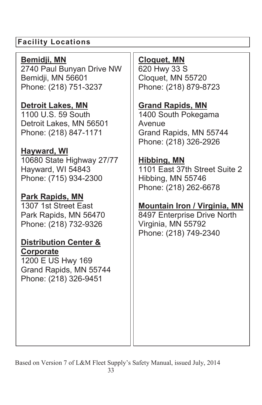## **Facility Locations**

**Bemidji, MN** 2740 Paul Bunyan Drive NW Bemidji, MN 56601 Phone: (218) 751-3237

**Detroit Lakes, MN** 1100 U.S. 59 South Detroit Lakes, MN 56501 Phone: (218) 847-1171

**Hayward, WI** 10680 State Highway 27/77 Hayward, WI 54843 Phone: (715) 934-2300

**Park Rapids, MN** 1307 1st Street East Park Rapids, MN 56470 Phone: (218) 732-9326

**Distribution Center & Corporate** 1200 E US Hwy 169 Grand Rapids, MN 55744 Phone: (218) 326-9451

## **Cloquet, MN**

620 Hwy 33 S Cloquet, MN 55720 Phone: (218) 879-8723

## **Grand Rapids, MN**

1400 South Pokegama Avenue Grand Rapids, MN 55744 Phone: (218) 326-2926

## **Hibbing, MN**

1101 East 37th Street Suite 2 Hibbing, MN 55746 Phone: (218) 262-6678

## **Mountain Iron / Virginia, MN**

8497 Enterprise Drive North Virginia, MN 55792 Phone: (218) 749-2340

Based on Version 7 of L&M Fleet Supply's Safety Manual, issued July, 2014 33 and the state of  $\overline{33}$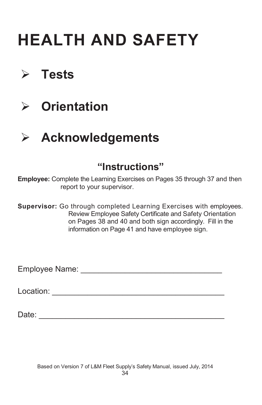## **HEALTH AND SAFETY**

## ¾ **Tests**

¾ **Orientation**

## ¾ **Acknowledgements**

## **"Instructions"**

**Employee:** Complete the Learning Exercises on Pages 35 through 37 and then report to your supervisor.

**Supervisor:** Go through completed Learning Exercises with employees. Review Employee Safety Certificate and Safety Orientation on Pages 38 and 40 and both sign accordingly. Fill in the information on Page 41 and have employee sign.

Employee Name: \_\_\_\_\_\_\_\_\_\_\_\_\_\_\_\_\_\_\_\_\_\_\_\_\_\_\_\_\_\_\_\_

Location: \_\_\_\_\_\_\_\_\_\_\_\_\_\_\_\_\_\_\_\_\_\_\_\_\_\_\_\_\_\_\_\_\_\_\_\_\_\_\_

Date: \_\_\_\_\_\_\_\_\_\_\_\_\_\_\_\_\_\_\_\_\_\_\_\_\_\_\_\_\_\_\_\_\_\_\_\_\_\_\_\_\_\_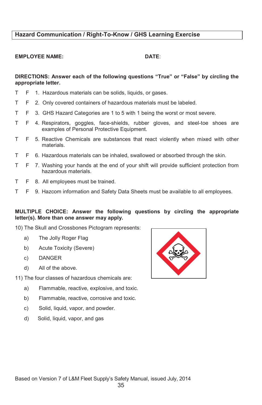#### **Hazard Communication / Right-To-Know / GHS Learning Exercise**

#### **EMPLOYEE NAME: DATE**:

#### **DIRECTIONS: Answer each of the following questions "True" or "False" by circling the appropriate letter.**

- T F 1. Hazardous materials can be solids, liquids, or gases.
- T F 2. Only covered containers of hazardous materials must be labeled.
- T F 3. GHS Hazard Categories are 1 to 5 with 1 being the worst or most severe.
- T F 4. Respirators, goggles, face-shields, rubber gloves, and steel-toe shoes are examples of Personal Protective Equipment.
- T F 5. Reactive Chemicals are substances that react violently when mixed with other materials.
- T F 6. Hazardous materials can be inhaled, swallowed or absorbed through the skin.
- T F 7. Washing your hands at the end of your shift will provide sufficient protection from hazardous materials.
- T F 8. All employees must be trained.
- T F 9. Hazcom information and Safety Data Sheets must be available to all employees.

#### **MULTIPLE CHOICE: Answer the following questions by circling the appropriate letter(s). More than one answer may apply.**

10) The Skull and Crossbones Pictogram represents:

- a) The Jolly Roger Flag
- b) Acute Toxicity (Severe)
- c) DANGER
- d) All of the above.
- 11) The four classes of hazardous chemicals are:
	- a) Flammable, reactive, explosive, and toxic.
	- b) Flammable, reactive, corrosive and toxic.
	- c) Solid, liquid, vapor, and powder.
	- d) Solid, liquid, vapor, and gas

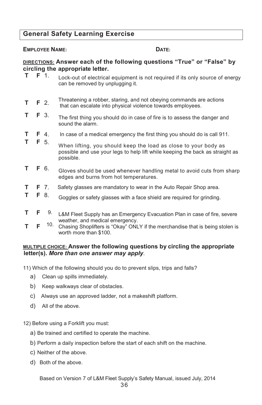### **General Safety Learning Exercise**

#### **EMPLOYEE NAME: DATE:**

## **DIRECTIONS: Answer each of the following questions "True" or "False" by circling the appropriate letter.**<br> **T F** 1 **Legislatic detained**

- Lock-out of electrical equipment is not required if its only source of energy can be removed by unplugging it.
- **T F** 2. Threatening a robber, staring, and not obeying commands are actions that can escalate into physical violence towards employees.
- **T F** 3. The first thing you should do in case of fire is to assess the danger and sound the alarm.
- **T F** 4. In case of a medical emergency the first thing you should do is call 911.
- **<sup>T</sup> <sup>F</sup>** 5. When lifting, you should keep the load as close to your body as possible and use your legs to help lift while keeping the back as straight as possible.
- **T F** 6. Gloves should be used whenever handling metal to avoid cuts from sharp edges and burns from hot temperatures.
- **T F** 7. Safety glasses are mandatory to wear in the Auto Repair Shop area.
- **T F** 8. Goggles or safety glasses with a face shield are required for grinding.
- **T F** 9. L&M Fleet Supply has an Emergency Evacuation Plan in case of fire, severe weather, and medical emergency.
- **T F** 10. Chasing Shoplifters is "Okay" ONLY if the merchandise that is being stolen is worth more than \$100.

#### **MULTIPLE CHOICE: Answer the following questions by circling the appropriate letter(s).** *More than one answer may apply.*

11) Which of the following should you do to prevent slips, trips and falls?

- a) Clean up spills immediately.
- b) Keep walkways clear of obstacles.
- c) Always use an approved ladder, not a makeshift platform.
- d) All of the above.

12) Before using a Forklift you must:

- a) Be trained and certified to operate the machine.
- b) Perform a daily inspection before the start of each shift on the machine.
- c) Neither of the above.
- d) Both of the above.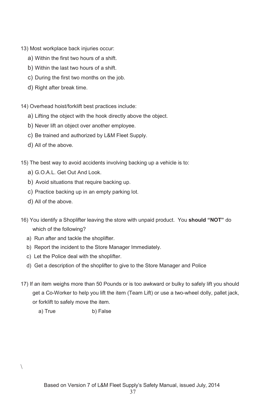- 13) Most workplace back injuries occur:
	- a) Within the first two hours of a shift.
	- b) Within the last two hours of a shift.
	- c) During the first two months on the job.
	- d) Right after break time.
- 14) Overhead hoist/forklift best practices include:
	- a) Lifting the object with the hook directly above the object.
	- b) Never lift an object over another employee.
	- c) Be trained and authorized by L&M Fleet Supply.
	- d) All of the above.
- 15) The best way to avoid accidents involving backing up a vehicle is to:
	- a) G.O.A.L. Get Out And Look.
	- b) Avoid situations that require backing up.
	- c) Practice backing up in an empty parking lot.
	- d) All of the above.

 $\setminus$ 

- 16) You identify a Shoplifter leaving the store with unpaid product. You **should "NOT"** do which of the following?
	- a) Run after and tackle the shoplifter.
	- b) Report the incident to the Store Manager Immediately.
	- c) Let the Police deal with the shoplifter.
	- d) Get a description of the shoplifter to give to the Store Manager and Police
- 17) If an item weighs more than 50 Pounds or is too awkward or bulky to safely lift you should get a Co-Worker to help you lift the item (Team Lift) or use a two-wheel dolly, pallet jack, or forklift to safely move the item.
	- a) True b) False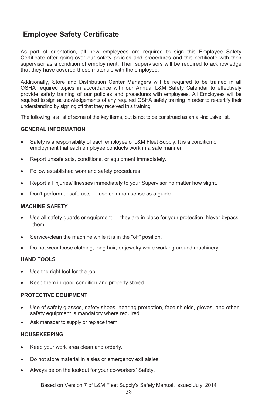## **Employee Safety Certificate**

As part of orientation, all new employees are required to sign this Employee Safety Certificate after going over our safety policies and procedures and this certificate with their supervisor as a condition of employment. Their supervisors will be required to acknowledge that they have covered these materials with the employee.

Additionally, Store and Distribution Center Managers will be required to be trained in all OSHA required topics in accordance with our Annual L&M Safety Calendar to effectively provide safety training of our policies and procedures with employees. All Employees will be required to sign acknowledgements of any required OSHA safety training in order to re-certify their understanding by signing off that they received this training.

The following is a list of some of the key items, but is not to be construed as an all-inclusive list.

#### **GENERAL INFORMATION**

- Safety is a responsibility of each employee of L&M Fleet Supply. It is a condition of employment that each employee conducts work in a safe manner.
- Report unsafe acts, conditions, or equipment immediately.
- Follow established work and safety procedures.
- Report all injuries/illnesses immediately to your Supervisor no matter how slight.
- Don't perform unsafe acts --- use common sense as a guide.

#### **MACHINE SAFETY**

- Use all safety guards or equipment --- they are in place for your protection. Never bypass them.
- Service/clean the machine while it is in the "off" position.
- Do not wear loose clothing, long hair, or jewelry while working around machinery.

#### **HAND TOOLS**

- Use the right tool for the job.
- Keep them in good condition and properly stored.

#### **PROTECTIVE EQUIPMENT**

- Use of safety glasses, safety shoes, hearing protection, face shields, gloves, and other safety equipment is mandatory where required.
- Ask manager to supply or replace them.

#### **HOUSEKEEPING**

- Keep your work area clean and orderly.
- Do not store material in aisles or emergency exit aisles.
- Always be on the lookout for your co-workers' Safety.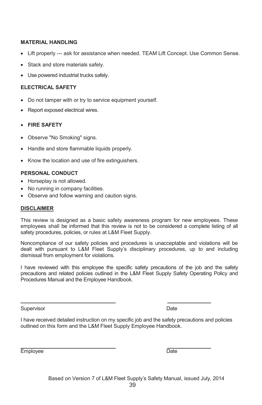#### **MATERIAL HANDLING**

- Lift properly --- ask for assistance when needed. TEAM Lift Concept. Use Common Sense.
- Stack and store materials safely.
- Use powered industrial trucks safely.

#### **ELECTRICAL SAFETY**

- Do not tamper with or try to service equipment yourself.
- Report exposed electrical wires.
- x **FIRE SAFETY**
- Observe "No Smoking" signs.
- Handle and store flammable liquids properly.
- Know the location and use of fire extinguishers.

#### **PERSONAL CONDUCT**

- Horseplay is not allowed.
- No running in company facilities.
- Observe and follow warning and caution signs.

#### **DISCLAIMER**

This review is designed as a basic safety awareness program for new employees. These employees shall be informed that this review is not to be considered a complete listing of all safety procedures, policies, or rules at L&M Fleet Supply.

Noncompliance of our safety policies and procedures is unacceptable and violations will be dealt with pursuant to L&M Fleet Supply's disciplinary procedures, up to and including dismissal from employment for violations.

I have reviewed with this employee the specific safety precautions of the job and the safety precautions and related policies outlined in the L&M Fleet Supply Safety Operating Policy and Procedures Manual and the Employee Handbook.

Supervisor **Date** 

I have received detailed instruction on my specific job and the safety precautions and policies outlined on this form and the L&M Fleet Supply Employee Handbook.

Employee Date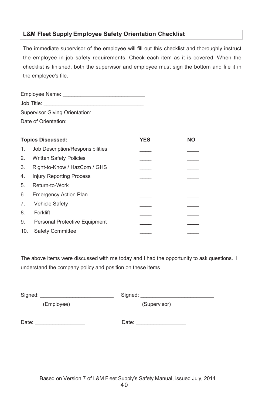#### **L&M Fleet Supply Employee Safety Orientation Checklist**

The immediate supervisor of the employee will fill out this checklist and thoroughly instruct the employee in job safety requirements. Check each item as it is covered. When the checklist is finished, both the supervisor and employee must sign the bottom and file it in the employee's file.

|     | <b>Topics Discussed:</b>         | <b>YES</b> | <b>NO</b> |
|-----|----------------------------------|------------|-----------|
| 1.  | Job Description/Responsibilities |            |           |
| 2.  | <b>Written Safety Policies</b>   |            |           |
| 3.  | Right-to-Know / HazCom / GHS     |            |           |
| 4.  | <b>Injury Reporting Process</b>  |            |           |
| 5.  | Return-to-Work                   |            |           |
| 6.  | <b>Emergency Action Plan</b>     |            |           |
| 7.  | <b>Vehicle Safety</b>            |            |           |
| 8.  | Forklift                         |            |           |
| 9.  | Personal Protective Equipment    |            |           |
| 10. | Safety Committee                 |            |           |

The above items were discussed with me today and I had the opportunity to ask questions. I understand the company policy and position on these items.

Signed: \_\_\_\_\_\_\_\_\_\_\_\_\_\_\_\_\_\_\_\_\_\_\_\_\_ Signed: \_\_\_\_\_\_\_\_\_\_\_\_\_\_\_\_\_\_\_\_\_\_\_\_\_

(Employee) (Supervisor)

Date: \_\_\_\_\_\_\_\_\_\_\_\_\_\_\_\_\_ Date: \_\_\_\_\_\_\_\_\_\_\_\_\_\_\_\_\_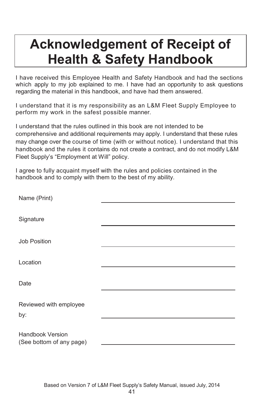## **Acknowledgement of Receipt of Health & Safety Handbook**

I have received this Employee Health and Safety Handbook and had the sections which apply to my job explained to me. I have had an opportunity to ask questions regarding the material in this handbook, and have had them answered.

I understand that it is my responsibility as an L&M Fleet Supply Employee to perform my work in the safest possible manner.

I understand that the rules outlined in this book are not intended to be comprehensive and additional requirements may apply. I understand that these rules may change over the course of time (with or without notice). I understand that this handbook and the rules it contains do not create a contract, and do not modify L&M Fleet Supply's "Employment at Will" policy.

I agree to fully acquaint myself with the rules and policies contained in the handbook and to comply with them to the best of my ability.

| Name (Print)             |  |
|--------------------------|--|
|                          |  |
| Signature                |  |
|                          |  |
| <b>Job Position</b>      |  |
|                          |  |
| Location                 |  |
|                          |  |
| Date                     |  |
|                          |  |
| Reviewed with employee   |  |
| by:                      |  |
|                          |  |
| <b>Handbook Version</b>  |  |
| (See bottom of any page) |  |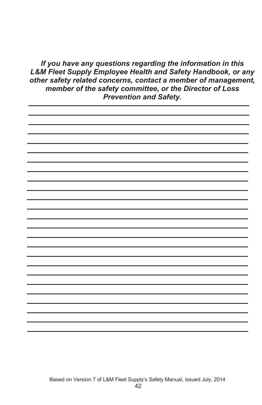*If you have any questions regarding the information in this L&M Fleet Supply Employee Health and Safety Handbook, or any other safety related concerns, contact a member of management, member of the safety committee, or the Director of Loss Prevention and Safety.*